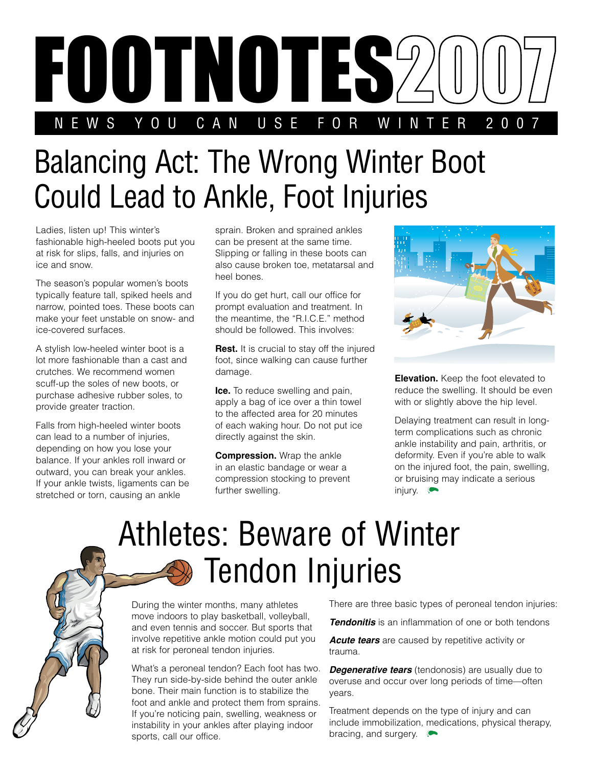

## Balancing Act: The Wrong Winter Boot Could Lead to Ankle, Foot Injuries

Ladies, listen up! This winter's fashionable high-heeled boots put you at risk for slips, falls, and injuries on ice and snow.

The season's popular women's boots typically feature tall, spiked heels and narrow, pointed toes. These boots can make your feet unstable on snow- and ice-covered surfaces.

A stylish low-heeled winter boot is a lot more fashionable than a cast and crutches. We recommend women scuff-up the soles of new boots, or purchase adhesive rubber soles, to provide greater traction.

Falls from high-heeled winter boots can lead to a number of injuries, depending on how you lose your balance. If your ankles roll inward or outward, you can break your ankles. If your ankle twists, ligaments can be stretched or torn, causing an ankle

sprain. Broken and sprained ankles can be present at the same time. Slipping or falling in these boots can also cause broken toe, metatarsal and heel bones.

If you do get hurt, call our office for prompt evaluation and treatment. In the meantime, the "R.I.C.E." method should be followed. This involves:

**Rest.** It is crucial to stay off the injured foot, since walking can cause further damage.

**Ice.** To reduce swelling and pain, apply a bag of ice over a thin towel to the affected area for 20 minutes of each waking hour. Do not put ice directly against the skin.

**Compression.** Wrap the ankle in an elastic bandage or wear a compression stocking to prevent further swelling.



**Elevation.** Keep the foot elevated to reduce the swelling. It should be even with or slightly above the hip level.

Delaying treatment can result in longterm complications such as chronic ankle instability and pain, arthritis, or deformity. Even if you're able to walk on the injured foot, the pain, swelling, or bruising may indicate a serious injury.

## Athletes: Beware of Winter Tendon Injuries

During the winter months, many athletes move indoors to play basketball, volleyball, and even tennis and soccer. But sports that involve repetitive ankle motion could put you at risk for peroneal tendon injuries.

What's a peroneal tendon? Each foot has two. They run side-by-side behind the outer ankle bone. Their main function is to stabilize the foot and ankle and protect them from sprains. If you're noticing pain, swelling, weakness or instability in your ankles after playing indoor sports, call our office.

There are three basic types of peroneal tendon injuries:

*Tendonitis* is an inflammation of one or both tendons

**Acute tears** are caused by repetitive activity or trauma.

**Degenerative tears** (tendonosis) are usually due to overuse and occur over long periods of time—often years.

Treatment depends on the type of injury and can include immobilization, medications, physical therapy, bracing, and surgery.